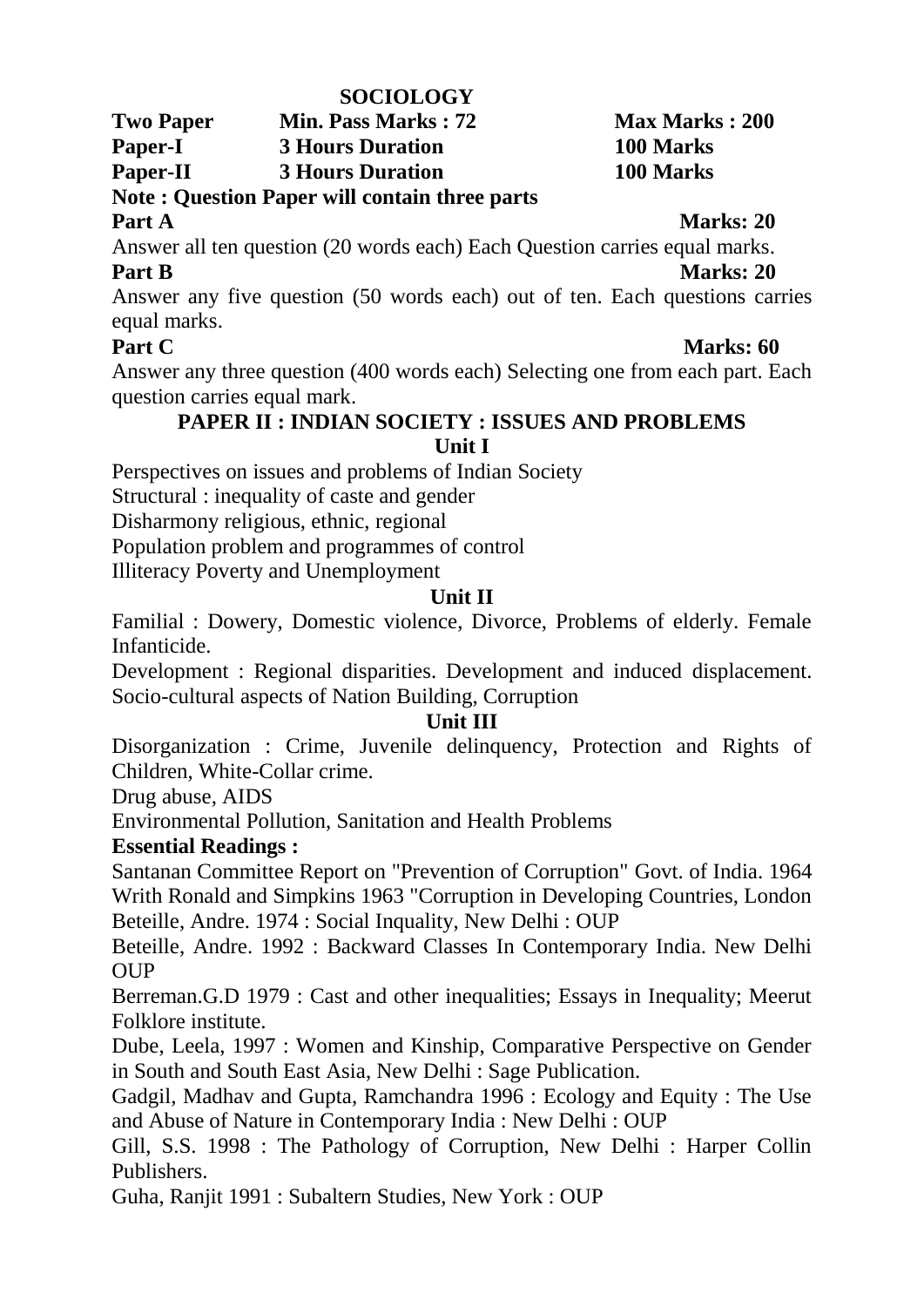### **SOCIOLOGY**

**Two Paper Min. Pass Marks : 72 Max Marks : 200 Paper-I 3 Hours Duration 100 Marks Paper-II 3 Hours Duration 100 Marks**

# **Note : Question Paper will contain three parts**

**Part A** Marks: 20

Answer all ten question (20 words each) Each Question carries equal marks. **Part B Marks: 20**

Answer any five question (50 words each) out of ten. Each questions carries equal marks.

## **Part C Marks: 60**

Answer any three question (400 words each) Selecting one from each part. Each question carries equal mark.

## **PAPER II : INDIAN SOCIETY : ISSUES AND PROBLEMS Unit I**

Perspectives on issues and problems of Indian Society

Structural : inequality of caste and gender

Disharmony religious, ethnic, regional

Population problem and programmes of control

Illiteracy Poverty and Unemployment

## **Unit II**

Familial : Dowery, Domestic violence, Divorce, Problems of elderly. Female Infanticide.

Development : Regional disparities. Development and induced displacement. Socio-cultural aspects of Nation Building, Corruption

## **Unit III**

Disorganization : Crime, Juvenile delinquency, Protection and Rights of Children, White-Collar crime.

Drug abuse, AIDS

Environmental Pollution, Sanitation and Health Problems

# **Essential Readings :**

Santanan Committee Report on "Prevention of Corruption" Govt. of India. 1964 Writh Ronald and Simpkins 1963 "Corruption in Developing Countries, London Beteille, Andre. 1974 : Social Inquality, New Delhi : OUP

Beteille, Andre. 1992 : Backward Classes In Contemporary India. New Delhi OUP

Berreman.G.D 1979 : Cast and other inequalities; Essays in Inequality; Meerut Folklore institute.

Dube, Leela, 1997 : Women and Kinship, Comparative Perspective on Gender in South and South East Asia, New Delhi : Sage Publication.

Gadgil, Madhav and Gupta, Ramchandra 1996 : Ecology and Equity : The Use and Abuse of Nature in Contemporary India : New Delhi : OUP

Gill, S.S. 1998 : The Pathology of Corruption, New Delhi : Harper Collin Publishers.

Guha, Ranjit 1991 : Subaltern Studies, New York : OUP